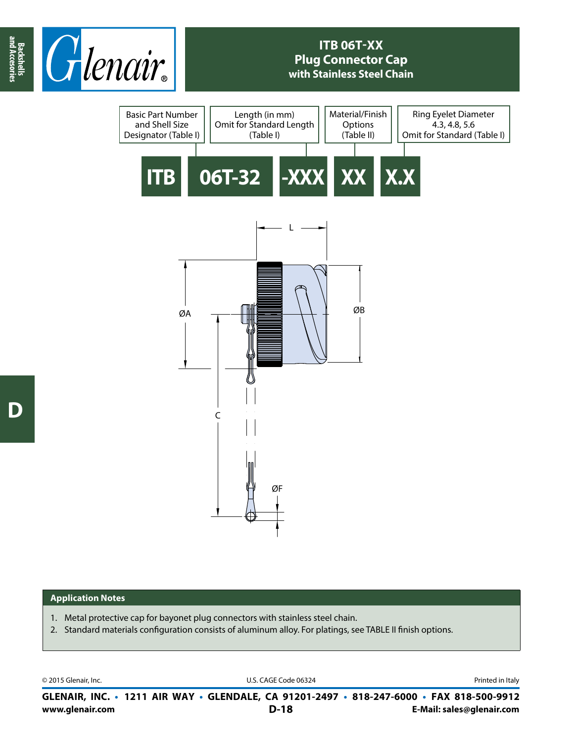

## **ITB 06T-XX Plug Connector Cap with Stainless Steel Chain**



## **Application Notes**

- 1. Metal protective cap for bayonet plug connectors with stainless steel chain.
- 2. Standard materials configuration consists of aluminum alloy. For platings, see TABLE II finish options.

© 2015 Glenair, Inc. U.S. CAGE Code 06324 Printed in Italy

**www.glenair.com E-Mail: sales@glenair.com GLENAIR, INC. • 1211 AIR WAY • GLENDALE, CA 91201-2497 • 818-247-6000 • FAX 818-500-9912 D-18**

**and Accesories**